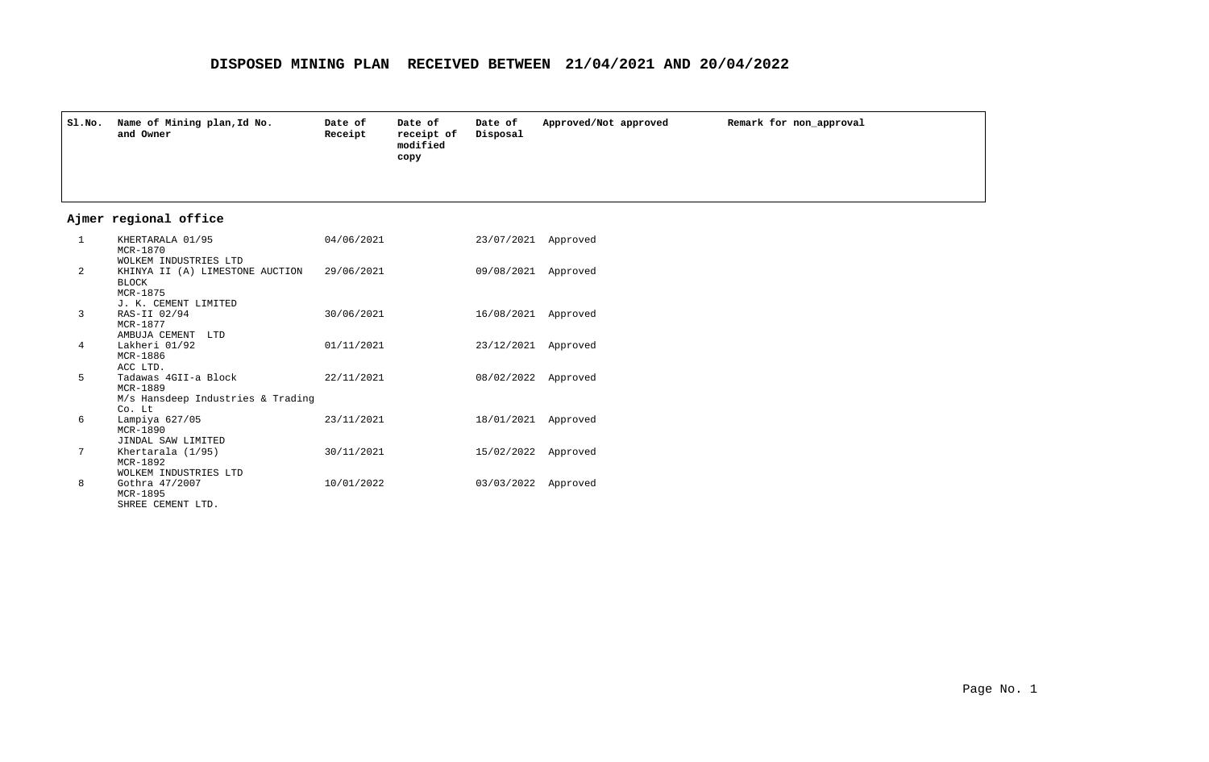| SI.NO.          | Name of Mining plan, Id No.<br>and Owner                                            | Date of<br>Receipt | Date of<br>receipt of<br>modified<br>copy | Date of<br>Disposal | Approved/Not approved | Remark for non approval |
|-----------------|-------------------------------------------------------------------------------------|--------------------|-------------------------------------------|---------------------|-----------------------|-------------------------|
|                 | Ajmer regional office                                                               |                    |                                           |                     |                       |                         |
| 1               | KHERTARALA 01/95<br>MCR-1870<br>WOLKEM INDUSTRIES LTD                               | 04/06/2021         |                                           | 23/07/2021 Approved |                       |                         |
| $\overline{a}$  | KHINYA II (A) LIMESTONE AUCTION<br><b>BLOCK</b><br>MCR-1875<br>J. K. CEMENT LIMITED | 29/06/2021         |                                           | 09/08/2021 Approved |                       |                         |
| 3               | RAS-II 02/94<br>MCR-1877<br>AMBUJA CEMENT LTD                                       | 30/06/2021         |                                           | 16/08/2021 Approved |                       |                         |
| $4\overline{ }$ | Lakheri 01/92<br>MCR-1886<br>ACC LTD.                                               | 01/11/2021         |                                           | 23/12/2021 Approved |                       |                         |
| 5               | Tadawas 4GII-a Block<br>MCR-1889<br>M/s Hansdeep Industries & Trading<br>Co. Lt     | 22/11/2021         |                                           | 08/02/2022 Approved |                       |                         |
| 6               | Lampiya 627/05<br>MCR-1890<br>JINDAL SAW LIMITED                                    | 23/11/2021         |                                           | 18/01/2021 Approved |                       |                         |
| 7               | Khertarala (1/95)<br>MCR-1892<br>WOLKEM INDUSTRIES LTD                              | 30/11/2021         |                                           | 15/02/2022 Approved |                       |                         |
| 8               | Gothra 47/2007<br>MCR-1895<br>SHREE CEMENT LTD.                                     | 10/01/2022         |                                           | 03/03/2022 Approved |                       |                         |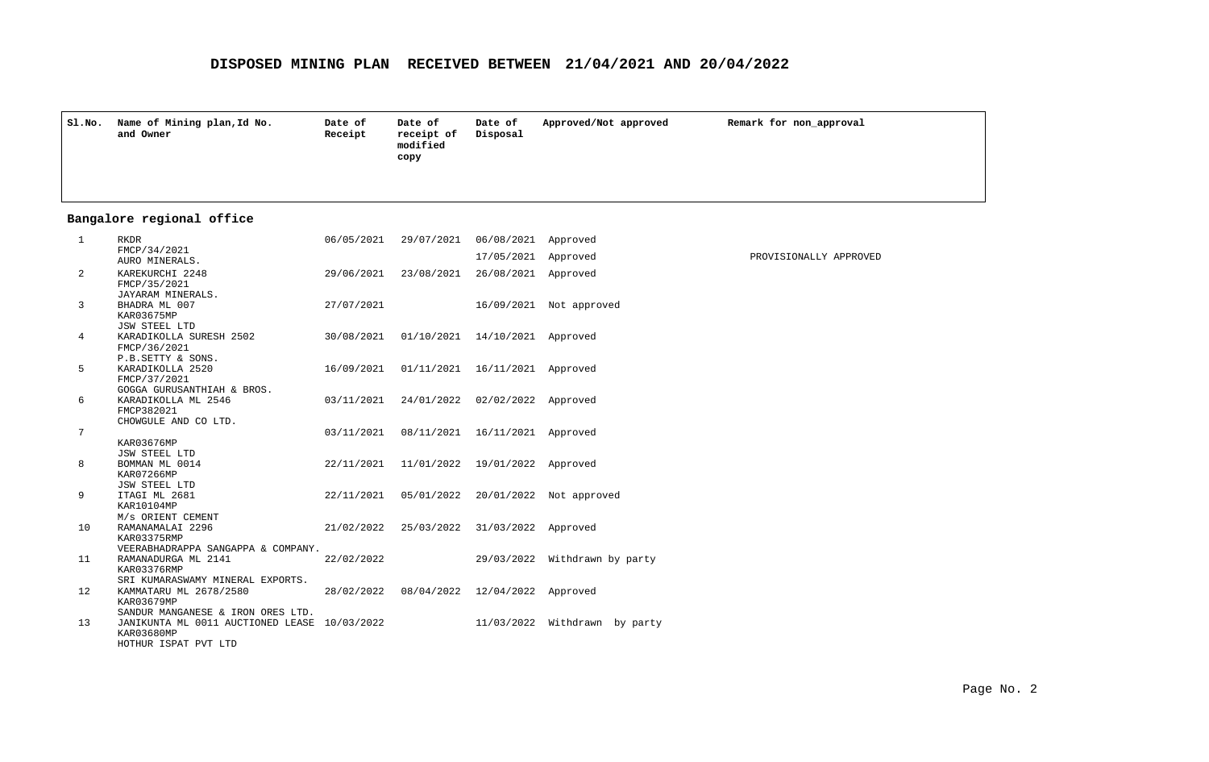| Sl.No.          | Name of Mining plan, Id No.<br>and Owner                                                                                | Date of<br>Receipt | Date of<br>receipt of<br>modified<br>copy | Date of<br>Disposal            | Approved/Not approved              | Remark for non approval |
|-----------------|-------------------------------------------------------------------------------------------------------------------------|--------------------|-------------------------------------------|--------------------------------|------------------------------------|-------------------------|
|                 | Bangalore regional office                                                                                               |                    |                                           |                                |                                    |                         |
| $\mathbf{1}$    | RKDR                                                                                                                    | 06/05/2021         | 29/07/2021                                | 06/08/2021 Approved            |                                    |                         |
|                 | FMCP/34/2021<br>AURO MINERALS.                                                                                          |                    |                                           | 17/05/2021 Approved            |                                    | PROVISIONALLY APPROVED  |
| $\overline{a}$  | KAREKURCHI 2248<br>FMCP/35/2021                                                                                         | 29/06/2021         | 23/08/2021                                | 26/08/2021 Approved            |                                    |                         |
| 3               | JAYARAM MINERALS.<br>BHADRA ML 007<br>KAR03675MP                                                                        | 27/07/2021         |                                           |                                | 16/09/2021 Not approved            |                         |
| 4               | JSW STEEL LTD<br>KARADIKOLLA SURESH 2502<br>FMCP/36/2021                                                                | 30/08/2021         | 01/10/2021 14/10/2021 Approved            |                                |                                    |                         |
| 5               | P.B.SETTY & SONS.<br>KARADIKOLLA 2520<br>FMCP/37/2021                                                                   | 16/09/2021         |                                           | 01/11/2021 16/11/2021 Approved |                                    |                         |
| 6               | GOGGA GURUSANTHIAH & BROS.<br>KARADIKOLLA ML 2546<br>FMCP382021                                                         | 03/11/2021         |                                           | 24/01/2022 02/02/2022 Approved |                                    |                         |
| $7\overline{ }$ | CHOWGULE AND CO LTD.<br>KAR03676MP                                                                                      | 03/11/2021         |                                           | 08/11/2021 16/11/2021 Approved |                                    |                         |
| 8               | JSW STEEL LTD<br>BOMMAN ML 0014<br>KAR07266MP                                                                           | 22/11/2021         |                                           | 11/01/2022 19/01/2022 Approved |                                    |                         |
| 9               | JSW STEEL LTD<br>ITAGI ML 2681<br>KAR10104MP                                                                            | 22/11/2021         |                                           |                                | 05/01/2022 20/01/2022 Not approved |                         |
| 10              | M/s ORIENT CEMENT<br>RAMANAMALAI 2296<br>KAR03375RMP                                                                    | 21/02/2022         |                                           | 25/03/2022 31/03/2022 Approved |                                    |                         |
| 11              | VEERABHADRAPPA SANGAPPA & COMPANY.<br>RAMANADURGA ML 2141<br>KAR03376RMP                                                | 22/02/2022         |                                           |                                | 29/03/2022 Withdrawn by party      |                         |
| 12              | SRI KUMARASWAMY MINERAL EXPORTS.<br>KAMMATARU ML 2678/2580<br>KAR03679MP                                                |                    | 28/02/2022 08/04/2022 12/04/2022 Approved |                                |                                    |                         |
| 13              | SANDUR MANGANESE & IRON ORES LTD.<br>JANIKUNTA ML 0011 AUCTIONED LEASE 10/03/2022<br>KAR03680MP<br>HOTHUR ISPAT PVT LTD |                    |                                           |                                | 11/03/2022 Withdrawn by party      |                         |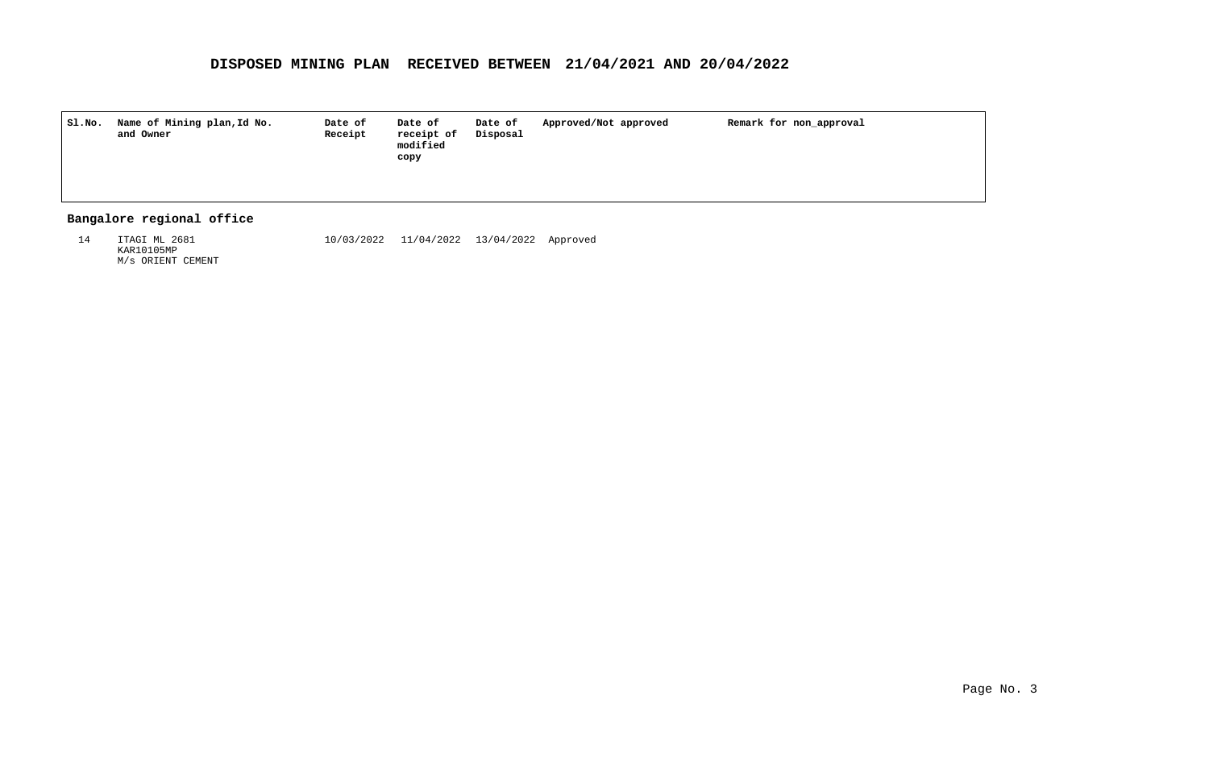| Sl.No. | Name of Mining plan, Id No.<br>and Owner | Date of<br>Receipt | Date of<br>receipt of<br>modified<br>copy | Date of<br>Disposal | Approved/Not approved | Remark for non_approval |
|--------|------------------------------------------|--------------------|-------------------------------------------|---------------------|-----------------------|-------------------------|
|        |                                          |                    |                                           |                     |                       |                         |

## **Bangalore regional office**

ITAGI ML 2681 KAR10105MP M/s ORIENT CEMENT 14 10/03/2022 13/04/2022 Approved 11/04/2022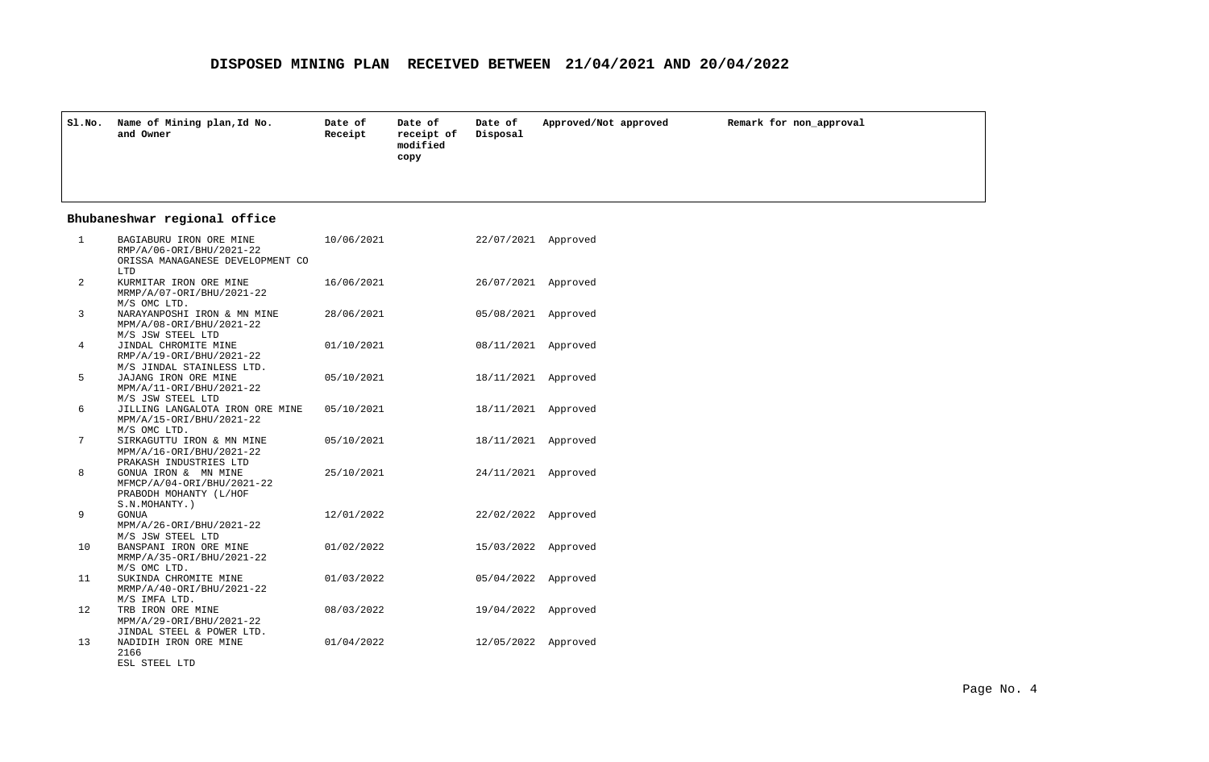| S1.NO.          | Name of Mining plan, Id No.<br>and Owner                                                       | Date of<br>Receipt | Date of<br>receipt of<br>modified<br>copy | Date of<br>Disposal | Approved/Not approved | Remark for non_approval |
|-----------------|------------------------------------------------------------------------------------------------|--------------------|-------------------------------------------|---------------------|-----------------------|-------------------------|
|                 | Bhubaneshwar regional office                                                                   |                    |                                           |                     |                       |                         |
| $\mathbf{1}$    | BAGIABURU IRON ORE MINE<br>RMP/A/06-ORI/BHU/2021-22<br>ORISSA MANAGANESE DEVELOPMENT CO<br>LTD | 10/06/2021         |                                           | 22/07/2021 Approved |                       |                         |
| 2               | KURMITAR IRON ORE MINE<br>MRMP/A/07-ORI/BHU/2021-22<br>M/S OMC LTD.                            | 16/06/2021         |                                           | 26/07/2021 Approved |                       |                         |
| $\overline{3}$  | NARAYANPOSHI IRON & MN MINE<br>MPM/A/08-ORI/BHU/2021-22<br>M/S JSW STEEL LTD                   | 28/06/2021         |                                           | 05/08/2021 Approved |                       |                         |
| 4               | JINDAL CHROMITE MINE<br>RMP/A/19-ORI/BHU/2021-22<br>M/S JINDAL STAINLESS LTD.                  | 01/10/2021         |                                           | 08/11/2021 Approved |                       |                         |
| 5               | JAJANG IRON ORE MINE<br>MPM/A/11-ORI/BHU/2021-22<br>M/S JSW STEEL LTD                          | 05/10/2021         |                                           | 18/11/2021 Approved |                       |                         |
| 6               | JILLING LANGALOTA IRON ORE MINE<br>MPM/A/15-ORI/BHU/2021-22<br>M/S OMC LTD.                    | 05/10/2021         |                                           | 18/11/2021 Approved |                       |                         |
| $7\phantom{.0}$ | SIRKAGUTTU IRON & MN MINE<br>MPM/A/16-ORI/BHU/2021-22<br>PRAKASH INDUSTRIES LTD                | 05/10/2021         |                                           | 18/11/2021 Approved |                       |                         |
| 8               | GONUA IRON & MN MINE<br>MFMCP/A/04-ORI/BHU/2021-22<br>PRABODH MOHANTY (L/HOF<br>S.N.MOHANTY.)  | 25/10/2021         |                                           | 24/11/2021 Approved |                       |                         |
| 9               | <b>GONUA</b><br>MPM/A/26-ORI/BHU/2021-22<br>M/S JSW STEEL LTD                                  | 12/01/2022         |                                           | 22/02/2022 Approved |                       |                         |
| 10              | BANSPANI IRON ORE MINE<br>MRMP/A/35-ORI/BHU/2021-22<br>M/S OMC LTD.                            | 01/02/2022         |                                           | 15/03/2022 Approved |                       |                         |
| 11              | SUKINDA CHROMITE MINE<br>MRMP/A/40-ORI/BHU/2021-22<br>M/S IMFA LTD.                            | 01/03/2022         |                                           | 05/04/2022 Approved |                       |                         |
| 12              | TRB IRON ORE MINE<br>MPM/A/29-ORI/BHU/2021-22<br>JINDAL STEEL & POWER LTD.                     | 08/03/2022         |                                           | 19/04/2022 Approved |                       |                         |
| 13              | NADIDIH IRON ORE MINE<br>2166<br>ESL STEEL LTD                                                 | 01/04/2022         |                                           | 12/05/2022 Approved |                       |                         |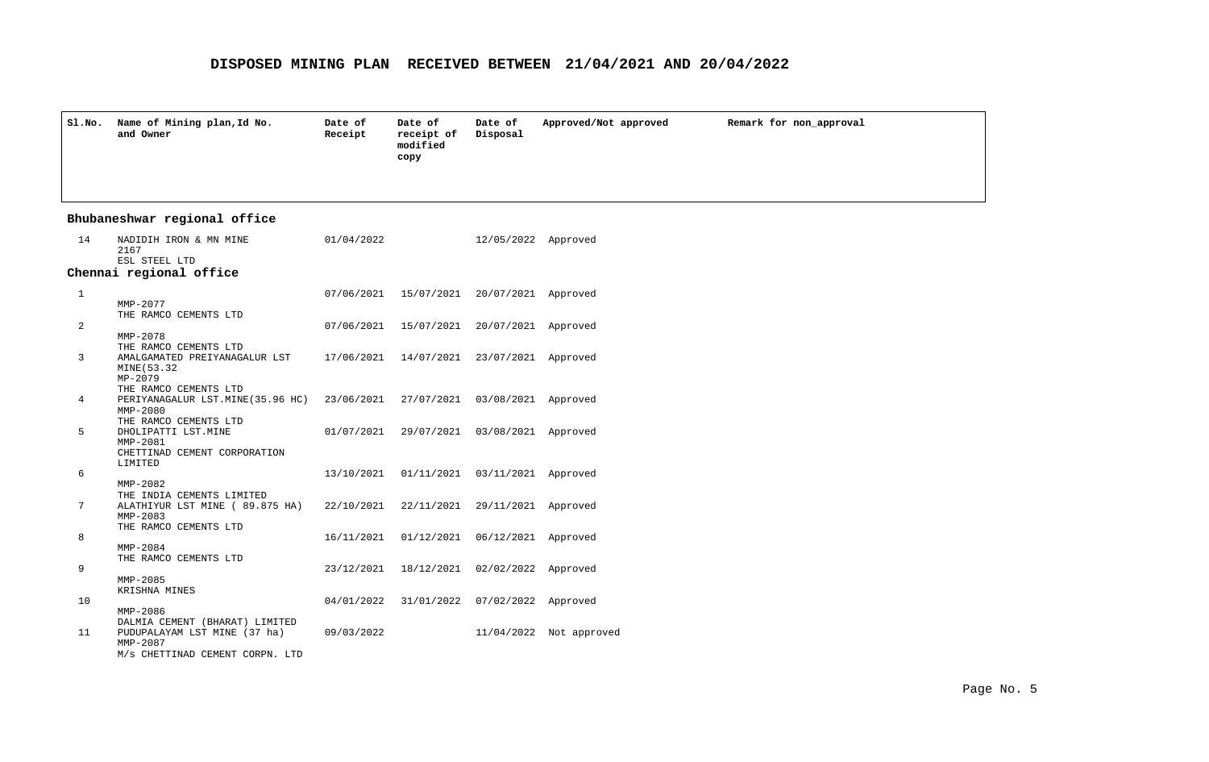| Sl.No.       | Name of Mining plan, Id No.<br>and Owner                                                                                      | Date of<br>Receipt | Date of<br>receipt of<br>modified<br>copy    | Date of<br>Disposal | Approved/Not approved   | Remark for non_approval |  |  |  |  |
|--------------|-------------------------------------------------------------------------------------------------------------------------------|--------------------|----------------------------------------------|---------------------|-------------------------|-------------------------|--|--|--|--|
|              | Bhubaneshwar regional office                                                                                                  |                    |                                              |                     |                         |                         |  |  |  |  |
| 14           | NADIDIH IRON & MN MINE<br>2167<br>ESL STEEL LTD                                                                               | 01/04/2022         |                                              | 12/05/2022 Approved |                         |                         |  |  |  |  |
|              | Chennai regional office                                                                                                       |                    |                                              |                     |                         |                         |  |  |  |  |
| $\mathbf{1}$ | MMP-2077                                                                                                                      | 07/06/2021         | 15/07/2021                                   | 20/07/2021 Approved |                         |                         |  |  |  |  |
| 2            | THE RAMCO CEMENTS LTD<br>MMP-2078                                                                                             |                    | 07/06/2021 15/07/2021                        | 20/07/2021 Approved |                         |                         |  |  |  |  |
| 3            | THE RAMCO CEMENTS LTD<br>AMALGAMATED PREIYANAGALUR LST<br>MINE (53.32<br>MP-2079                                              |                    | 17/06/2021  14/07/2021  23/07/2021  Approved |                     |                         |                         |  |  |  |  |
| 4            | THE RAMCO CEMENTS LTD<br>PERIYANAGALUR LST.MINE(35.96 HC) 23/06/2021 27/07/2021 03/08/2021 Approved<br>$MMP-2080$             |                    |                                              |                     |                         |                         |  |  |  |  |
| 5            | THE RAMCO CEMENTS LTD<br>DHOLIPATTI LST. MINE<br>MMP-2081<br>CHETTINAD CEMENT CORPORATION<br>LIMITED                          | 01/07/2021         | 29/07/2021 03/08/2021 Approved               |                     |                         |                         |  |  |  |  |
| 6            | $MMP-2082$                                                                                                                    | 13/10/2021         | 01/11/2021 03/11/2021 Approved               |                     |                         |                         |  |  |  |  |
| 7            | THE INDIA CEMENTS LIMITED<br>ALATHIYUR LST MINE ( 89.875 HA)<br>$MMP-2083$                                                    | 22/10/2021         | 22/11/2021                                   | 29/11/2021 Approved |                         |                         |  |  |  |  |
| 8            | THE RAMCO CEMENTS LTD<br>$MMP - 2084$                                                                                         | 16/11/2021         | 01/12/2021                                   | 06/12/2021 Approved |                         |                         |  |  |  |  |
| 9            | THE RAMCO CEMENTS LTD<br>$MMP - 2085$                                                                                         | 23/12/2021         | 18/12/2021                                   | 02/02/2022 Approved |                         |                         |  |  |  |  |
| 10           | KRISHNA MINES                                                                                                                 | 04/01/2022         | 31/01/2022                                   | 07/02/2022 Approved |                         |                         |  |  |  |  |
| 11           | MMP-2086<br>DALMIA CEMENT (BHARAT) LIMITED<br>PUDUPALAYAM LST MINE (37 ha)<br>$MMP - 2087$<br>M/s CHETTINAD CEMENT CORPN. LTD | 09/03/2022         |                                              |                     | 11/04/2022 Not approved |                         |  |  |  |  |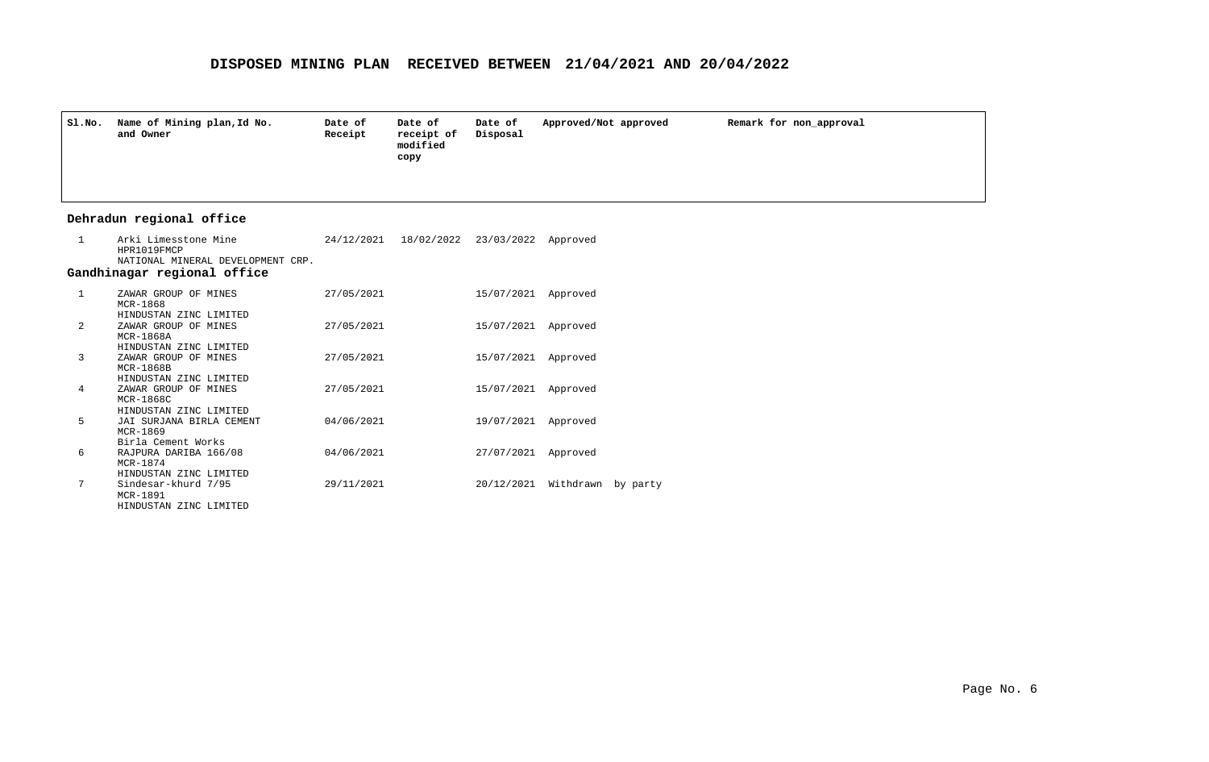| Sl.No. | Name of Mining plan, Id No.<br>and Owner | Date of<br>Receipt | Date of<br>receipt of<br>modified<br>сору | Date of<br>Disposal | Approved/Not approved | Remark for non_approval |
|--------|------------------------------------------|--------------------|-------------------------------------------|---------------------|-----------------------|-------------------------|
|        |                                          |                    |                                           |                     |                       |                         |

## **Dehradun regional office**

| $\mathbf{1}$   | Arki Limesstone Mine<br>HPR1019FMCP<br>NATIONAL MINERAL DEVELOPMENT CRP.            |            | 24/12/2021 18/02/2022 23/03/2022 Approved |                               |  |
|----------------|-------------------------------------------------------------------------------------|------------|-------------------------------------------|-------------------------------|--|
|                | Gandhinagar regional office                                                         |            |                                           |                               |  |
| $\mathbf{1}$   | ZAWAR GROUP OF MINES<br>$MCR-1868$                                                  | 27/05/2021 |                                           | 15/07/2021 Approved           |  |
| $\overline{2}$ | HINDUSTAN ZINC LIMITED<br>ZAWAR GROUP OF MINES<br>MCR-1868A                         | 27/05/2021 |                                           | 15/07/2021 Approved           |  |
| 3              | HINDUSTAN ZINC LIMITED<br>ZAWAR GROUP OF MINES<br>MCR-1868B                         | 27/05/2021 |                                           | 15/07/2021 Approved           |  |
| 4              | HINDUSTAN ZINC LIMITED<br>ZAWAR GROUP OF MINES<br>MCR-1868C                         | 27/05/2021 |                                           | 15/07/2021 Approved           |  |
| 5.             | HINDUSTAN ZINC LIMITED<br>JAI SURJANA BIRLA CEMENT<br>$MCR-1869$                    | 04/06/2021 |                                           | 19/07/2021 Approved           |  |
| 6              | Birla Cement Works<br>RAJPURA DARIBA 166/08<br>MCR-1874                             | 04/06/2021 |                                           | 27/07/2021 Approved           |  |
| 7              | HINDUSTAN ZINC LIMITED<br>Sindesar-khurd 7/95<br>MCR-1891<br>HINDUSTAN ZINC LIMITED | 29/11/2021 |                                           | 20/12/2021 Withdrawn by party |  |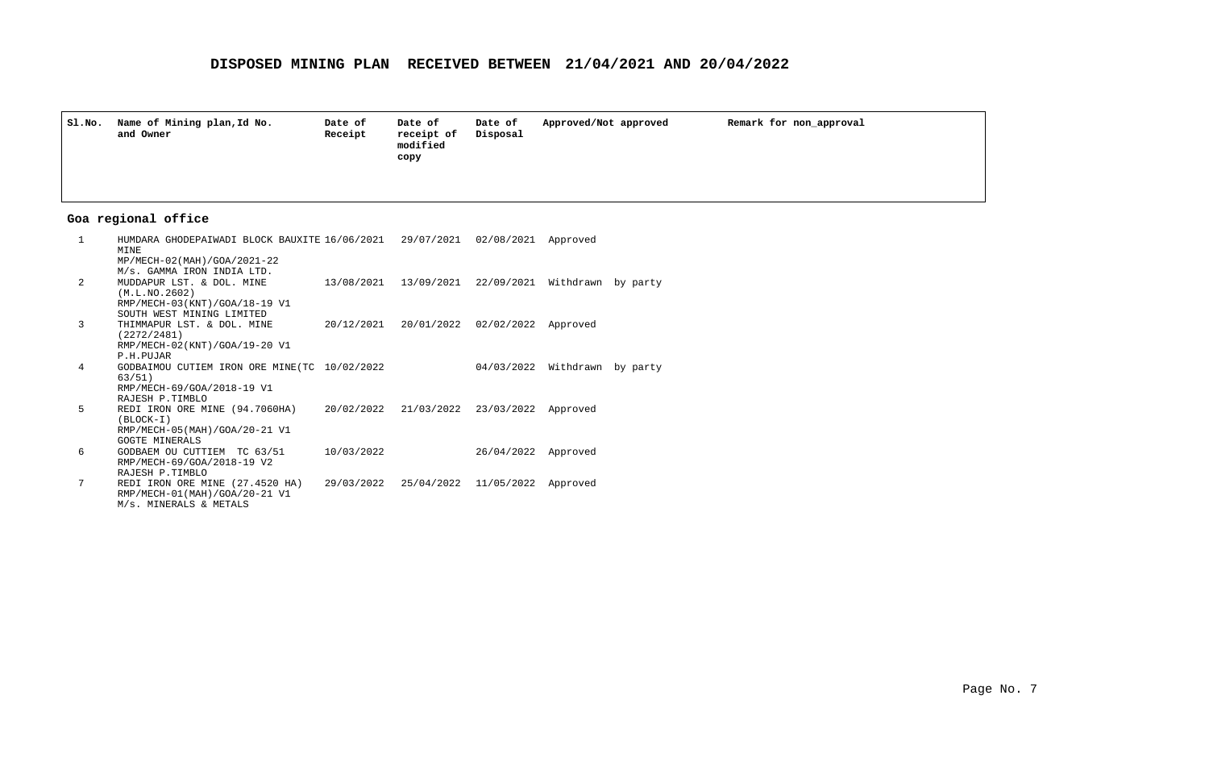| Sl.No. | Name of Mining plan, Id No.<br>and Owner | Date of<br>Receipt | Date of<br>receipt of<br>modified<br>сору | Date of<br>Disposal | Approved/Not approved | Remark for non_approval |
|--------|------------------------------------------|--------------------|-------------------------------------------|---------------------|-----------------------|-------------------------|
|        |                                          |                    |                                           |                     |                       |                         |

## **Goa regional office**

| $\mathbf{1}$ | HUMDARA GHODEPAIWADI BLOCK BAUXITE 16/06/2021 29/07/2021 02/08/2021<br>MINE |                                                     |            | Approved           |  |
|--------------|-----------------------------------------------------------------------------|-----------------------------------------------------|------------|--------------------|--|
|              | MP/MECH-02(MAH)/GOA/2021-22                                                 |                                                     |            |                    |  |
|              | M/s. GAMMA IRON INDIA LTD.                                                  |                                                     |            |                    |  |
| 2            | MUDDAPUR LST. & DOL. MINE                                                   | 13/08/2021 13/09/2021 22/09/2021 Withdrawn by party |            |                    |  |
|              | (M.L.NO.2602)                                                               |                                                     |            |                    |  |
|              | RMP/MECH-03(KNT)/GOA/18-19 V1<br>SOUTH WEST MINING LIMITED                  |                                                     |            |                    |  |
| 3            | THIMMAPUR LST. & DOL. MINE                                                  | 20/12/2021 20/01/2022 02/02/2022 Approved           |            |                    |  |
|              | (2272/2481)                                                                 |                                                     |            |                    |  |
|              | RMP/MECH-02(KNT)/GOA/19-20 V1                                               |                                                     |            |                    |  |
|              | P.H.PUJAR                                                                   |                                                     |            |                    |  |
| 4            | GODBAIMOU CUTIEM IRON ORE MINE (TC 10/02/2022                               |                                                     | 04/03/2022 | Withdrawn by party |  |
|              | 63/51)                                                                      |                                                     |            |                    |  |
|              | RMP/MECH-69/GOA/2018-19 V1                                                  |                                                     |            |                    |  |
|              | RAJESH P.TIMBLO                                                             |                                                     |            |                    |  |
| 5            | REDI IRON ORE MINE (94.7060HA)                                              | 20/02/2022 21/03/2022 23/03/2022                    |            | Approved           |  |
|              | $(BLOCK-I)$<br>RMP/MECH-05(MAH)/GOA/20-21 V1                                |                                                     |            |                    |  |
|              | GOGTE MINERALS                                                              |                                                     |            |                    |  |
| 6            | GODBAEM OU CUTTIEM TC 63/51                                                 | 10/03/2022                                          | 26/04/2022 | Approved           |  |
|              | RMP/MECH-69/GOA/2018-19 V2                                                  |                                                     |            |                    |  |
|              | RAJESH P.TIMBLO                                                             |                                                     |            |                    |  |
| 7            | REDI IRON ORE MINE (27.4520 HA)                                             | 29/03/2022 25/04/2022 11/05/2022 Approved           |            |                    |  |
|              | RMP/MECH-01(MAH)/GOA/20-21 V1                                               |                                                     |            |                    |  |
|              | M/s. MINERALS & METALS                                                      |                                                     |            |                    |  |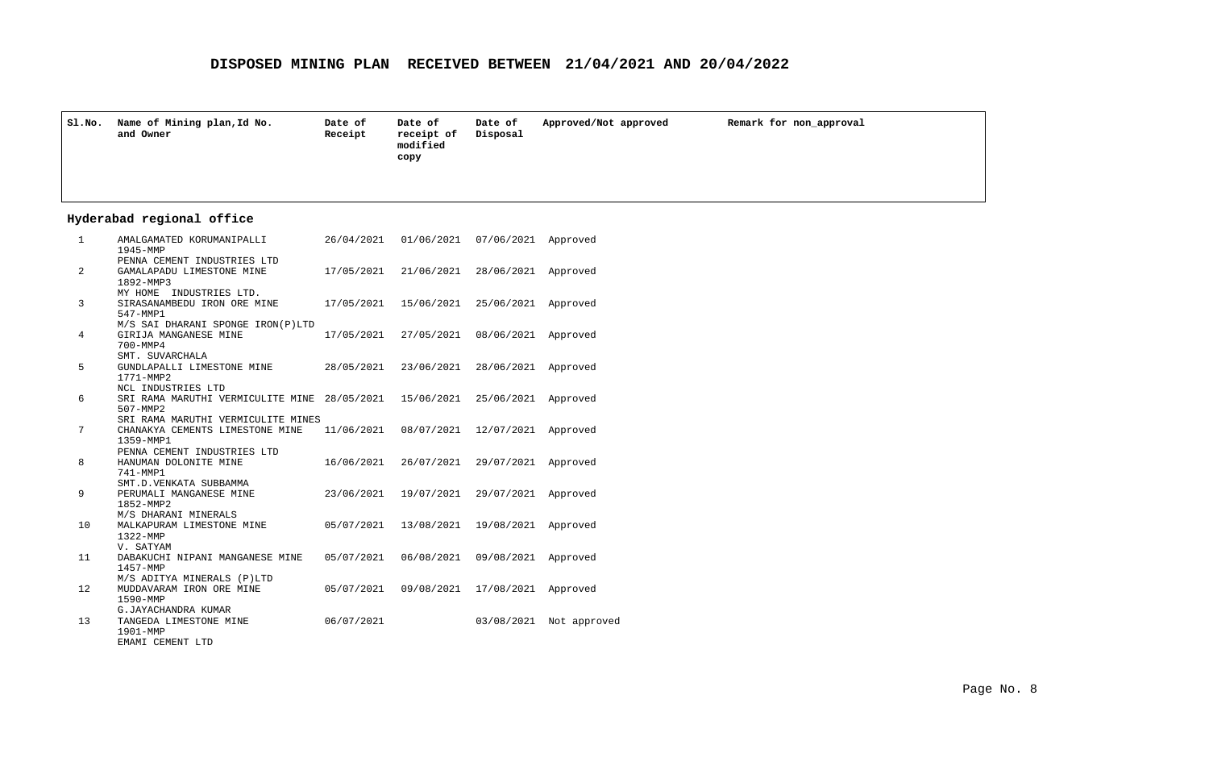| Sl.No. | Name of Mining plan, Id No.<br>and Owner | Date of<br>Receipt | Date of<br>receipt of<br>modified<br>copy | Date of<br>Disposal | Approved/Not approved | Remark for non approval |
|--------|------------------------------------------|--------------------|-------------------------------------------|---------------------|-----------------------|-------------------------|
|        |                                          |                    |                                           |                     |                       |                         |

## **Hyderabad regional office**

| $\mathbf{1}$ | AMALGAMATED KORUMANIPALLI<br>1945-MMP        | 26/04/2021 | 01/06/2021 | 07/06/2021 | Approved     |
|--------------|----------------------------------------------|------------|------------|------------|--------------|
|              | PENNA CEMENT INDUSTRIES LTD                  |            |            |            |              |
| 2            | GAMALAPADU LIMESTONE MINE                    | 17/05/2021 | 21/06/2021 | 28/06/2021 | Approved     |
|              | 1892-MMP3                                    |            |            |            |              |
|              | INDUSTRIES LTD.<br>MY HOME                   |            |            |            |              |
| 3            | SIRASANAMBEDU IRON ORE MINE                  | 17/05/2021 | 15/06/2021 | 25/06/2021 | Approved     |
|              | 547-MMP1                                     |            |            |            |              |
|              | M/S SAI DHARANI SPONGE IRON(P)LTD            |            |            |            |              |
| 4            | GIRIJA MANGANESE MINE                        | 17/05/2021 | 27/05/2021 | 08/06/2021 | Approved     |
|              | 700-MMP4                                     |            |            |            |              |
|              | SMT. SUVARCHALA                              |            |            |            |              |
| 5            | GUNDLAPALLI LIMESTONE MINE                   | 28/05/2021 | 23/06/2021 | 28/06/2021 | Approved     |
|              | 1771-MMP2                                    |            |            |            |              |
|              | NCL INDUSTRIES LTD                           |            |            |            |              |
| 6            | SRI RAMA MARUTHI VERMICULITE MINE 28/05/2021 |            | 15/06/2021 | 25/06/2021 | Approved     |
|              | 507-MMP2                                     |            |            |            |              |
|              | SRI RAMA MARUTHI VERMICULITE MINES           |            |            |            |              |
| 7            | CHANAKYA CEMENTS LIMESTONE MINE              | 11/06/2021 | 08/07/2021 | 12/07/2021 | Approved     |
|              | 1359-MMP1                                    |            |            |            |              |
|              | PENNA CEMENT INDUSTRIES LTD                  |            |            |            |              |
| 8            | HANUMAN DOLONITE MINE                        | 16/06/2021 | 26/07/2021 | 29/07/2021 | Approved     |
|              | 741-MMP1                                     |            |            |            |              |
|              | SMT.D.VENKATA SUBBAMMA                       |            |            |            |              |
| 9            | PERUMALI MANGANESE MINE                      | 23/06/2021 | 19/07/2021 | 29/07/2021 | Approved     |
|              | 1852-MMP2                                    |            |            |            |              |
|              | M/S DHARANI MINERALS                         |            |            |            |              |
| 10           | MALKAPURAM LIMESTONE MINE                    | 05/07/2021 | 13/08/2021 | 19/08/2021 | Approved     |
|              | 1322-MMP                                     |            |            |            |              |
|              | V. SATYAM                                    |            |            |            |              |
| 11           | DABAKUCHI NIPANI MANGANESE MINE              | 05/07/2021 | 06/08/2021 | 09/08/2021 | Approved     |
|              | 1457-MMP                                     |            |            |            |              |
|              | M/S ADITYA MINERALS (P)LTD                   |            |            |            |              |
| 12           | MUDDAVARAM IRON ORE MINE                     | 05/07/2021 | 09/08/2021 | 17/08/2021 | Approved     |
|              | 1590-MMP                                     |            |            |            |              |
|              | G.JAYACHANDRA KUMAR                          |            |            |            |              |
| 13           | TANGEDA LIMESTONE MINE                       | 06/07/2021 |            | 03/08/2021 | Not approved |
|              | 1901-MMP                                     |            |            |            |              |
|              | EMAMI CEMENT LTD                             |            |            |            |              |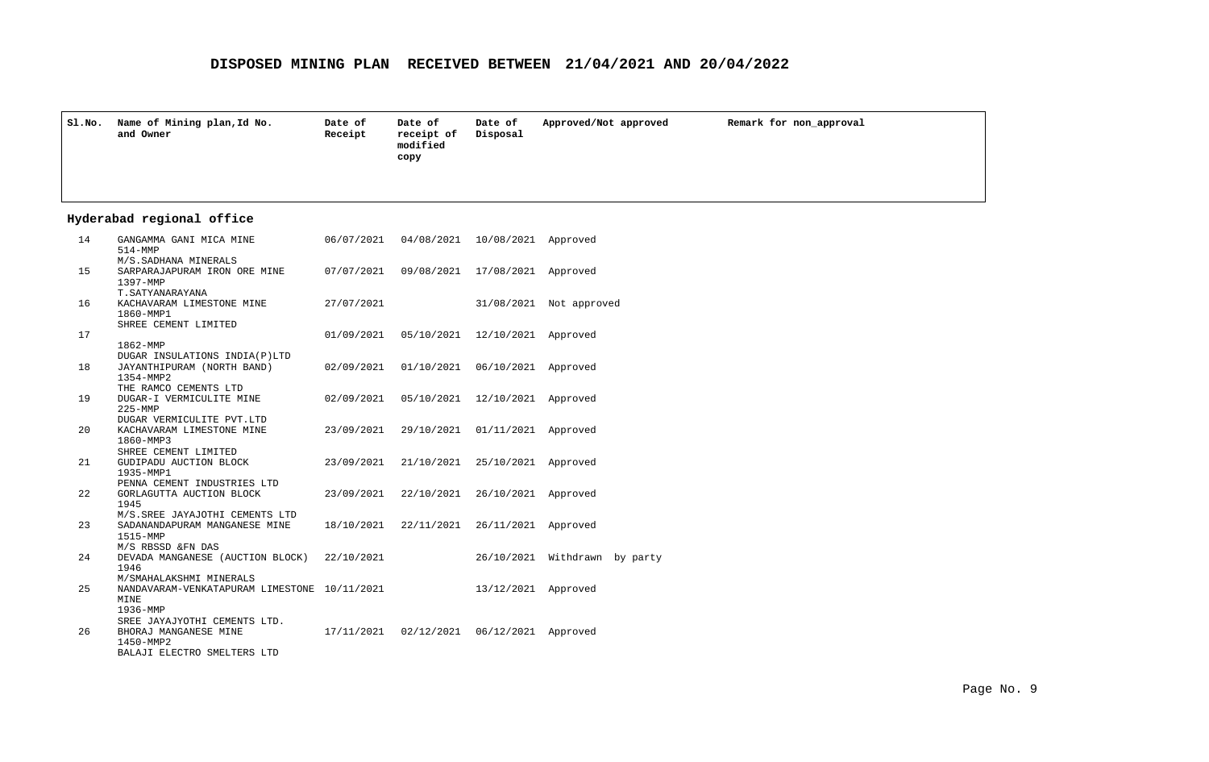| sl.No. | Name of Mining plan, Id No.<br>and Owner | Date of<br>Receipt | Date of<br>receipt of<br>modified<br>copy | Date of<br>Disposal | Approved/Not approved | Remark for non approval |
|--------|------------------------------------------|--------------------|-------------------------------------------|---------------------|-----------------------|-------------------------|
|        |                                          |                    |                                           |                     |                       |                         |

## **Hyderabad regional office**

| 14 | GANGAMMA GANI MICA MINE<br>$514 - MMP$                                          | 06/07/2021 |            | 04/08/2021 10/08/2021 Approved   |                               |
|----|---------------------------------------------------------------------------------|------------|------------|----------------------------------|-------------------------------|
| 15 | M/S. SADHANA MINERALS<br>SARPARAJAPURAM IRON ORE MINE                           | 07/07/2021 |            | 09/08/2021 17/08/2021 Approved   |                               |
| 16 | 1397-MMP<br>T. SATYANARAYANA                                                    |            |            |                                  |                               |
|    | KACHAVARAM LIMESTONE MINE<br>1860-MMP1<br>SHREE CEMENT LIMITED                  | 27/07/2021 |            |                                  | 31/08/2021 Not approved       |
| 17 | 1862-MMP                                                                        | 01/09/2021 |            | 05/10/2021 12/10/2021 Approved   |                               |
| 18 | DUGAR INSULATIONS INDIA(P)LTD<br>JAYANTHIPURAM (NORTH BAND)<br>1354-MMP2        | 02/09/2021 | 01/10/2021 | 06/10/2021 Approved              |                               |
| 19 | THE RAMCO CEMENTS LTD<br>DUGAR-I VERMICULITE MINE<br>$225 - MMP$                | 02/09/2021 |            | 05/10/2021 12/10/2021 Approved   |                               |
| 20 | DUGAR VERMICULITE PVT.LTD<br>KACHAVARAM LIMESTONE MINE<br>1860-MMP3             | 23/09/2021 | 29/10/2021 | 01/11/2021 Approved              |                               |
| 21 | SHREE CEMENT LIMITED<br>GUDIPADU AUCTION BLOCK<br>1935-MMP1                     | 23/09/2021 | 21/10/2021 | 25/10/2021 Approved              |                               |
| 22 | PENNA CEMENT INDUSTRIES LTD<br>GORLAGUTTA AUCTION BLOCK<br>1945                 | 23/09/2021 |            | 22/10/2021 26/10/2021 Approved   |                               |
| 23 | M/S.SREE JAYAJOTHI CEMENTS LTD<br>SADANANDAPURAM MANGANESE MINE<br>1515-MMP     | 18/10/2021 |            | 22/11/2021  26/11/2021  Approved |                               |
| 24 | M/S RBSSD &FN DAS<br>DEVADA MANGANESE (AUCTION BLOCK)<br>1946                   | 22/10/2021 |            |                                  | 26/10/2021 Withdrawn by party |
| 25 | M/SMAHALAKSHMI MINERALS<br>NANDAVARAM-VENKATAPURAM LIMESTONE 10/11/2021<br>MINE |            |            | 13/12/2021 Approved              |                               |
| 26 | 1936-MMP<br>SREE JAYAJYOTHI CEMENTS LTD.<br>BHORAJ MANGANESE MINE<br>1450-MMP2  | 17/11/2021 |            | 02/12/2021  06/12/2021  Approved |                               |
|    | BALAJI ELECTRO SMELTERS LTD                                                     |            |            |                                  |                               |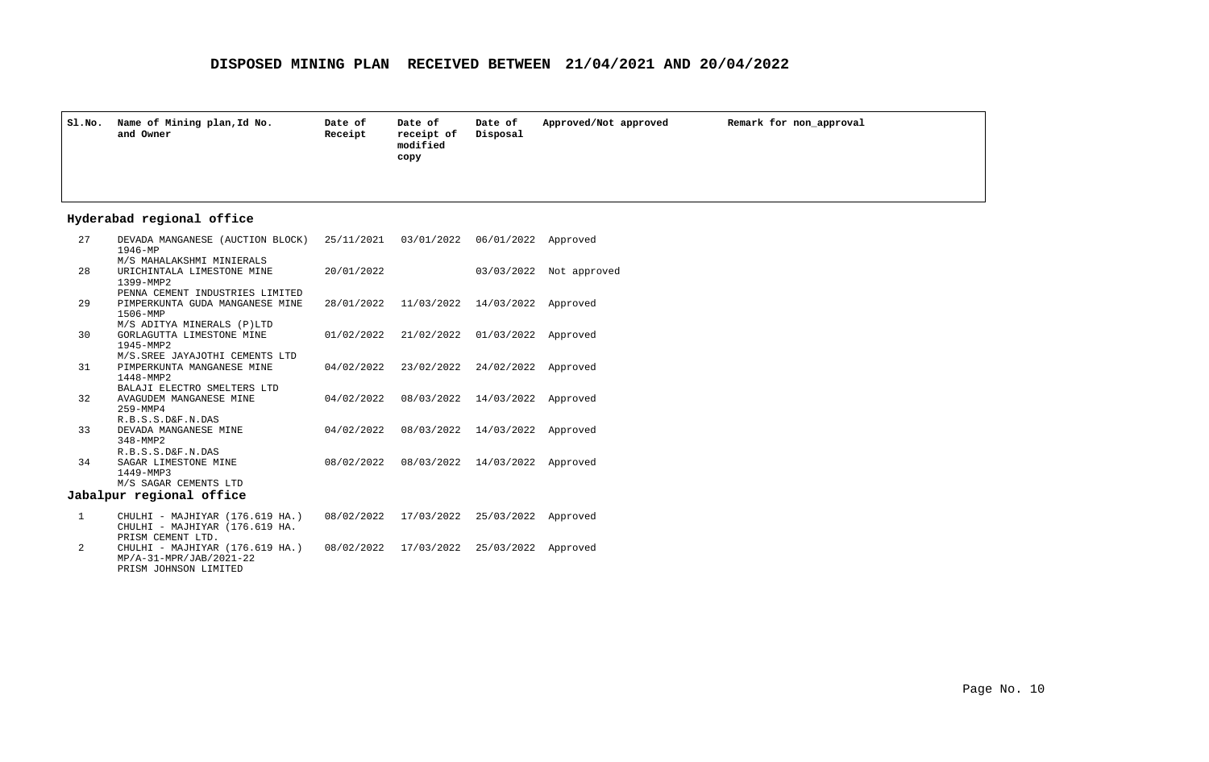| Sl.No. | Name of Mining plan, Id No.<br>and Owner | Date of<br>Receipt | Date of<br>receipt of<br>modified<br>copy | Date of<br>Disposal | Approved/Not approved | Remark for non approval |
|--------|------------------------------------------|--------------------|-------------------------------------------|---------------------|-----------------------|-------------------------|
|        |                                          |                    |                                           |                     |                       |                         |

### **Hyderabad regional office**

| 27 | DEVADA MANGANESE (AUCTION BLOCK)<br>$1946 - MP$ | 25/11/2021 | 03/01/2022                       | 06/01/2022 | Approved     |
|----|-------------------------------------------------|------------|----------------------------------|------------|--------------|
|    | M/S MAHALAKSHMI MINIERALS                       |            |                                  |            |              |
| 28 | URICHINTALA LIMESTONE MINE                      | 20/01/2022 |                                  | 03/03/2022 | Not approved |
|    | 1399-MMP2<br>PENNA CEMENT INDUSTRIES LIMITED    |            |                                  |            |              |
| 29 | PIMPERKUNTA GUDA MANGANESE MINE                 |            | 28/01/2022 11/03/2022 14/03/2022 |            | Approved     |
|    | 1506-MMP                                        |            |                                  |            |              |
|    | M/S ADITYA MINERALS (P)LTD                      |            |                                  |            |              |
| 30 | GORLAGUTTA LIMESTONE MINE                       | 01/02/2022 | 21/02/2022                       | 01/03/2022 | Approved     |
|    | 1945-MMP2                                       |            |                                  |            |              |
|    | M/S. SREE JAYAJOTHI CEMENTS LTD                 |            |                                  |            |              |
| 31 | PIMPERKUNTA MANGANESE MINE<br>1448-MMP2         |            | 04/02/2022 23/02/2022 24/02/2022 |            | Approved     |
|    | BALAJI ELECTRO SMELTERS LTD                     |            |                                  |            |              |
| 32 | AVAGUDEM MANGANESE MINE                         | 04/02/2022 | 08/03/2022                       | 14/03/2022 | Approved     |
|    | 259-MMP4                                        |            |                                  |            |              |
|    | R.B.S.S.D&F.N.DAS                               |            |                                  |            |              |
| 33 | DEVADA MANGANESE MINE                           | 04/02/2022 | 08/03/2022                       | 14/03/2022 | Approved     |
|    | $348 - MMP2$                                    |            |                                  |            |              |
| 34 | R.B.S.S.D&F.N.DAS<br>SAGAR LIMESTONE MINE       | 08/02/2022 | 08/03/2022                       | 14/03/2022 | Approved     |
|    | 1449-MMP3                                       |            |                                  |            |              |
|    | M/S SAGAR CEMENTS LTD                           |            |                                  |            |              |
|    | Jabalpur regional office                        |            |                                  |            |              |
|    |                                                 |            |                                  |            |              |

- CHULHI MAJHIYAR (176.619 HA.) 08/02/2022 25/03/2022 Approved 17/03/2022 CHULHI - MAJHIYAR (176.619 HA. PRISM CEMENT LTD. 1
- CHULHI MAJHIYAR (176.619 HA.) 08/02/2022 25/03/2022 Approved 17/03/2022MP/A-31-MPR/JAB/2021-22 PRISM JOHNSON LIMITED 2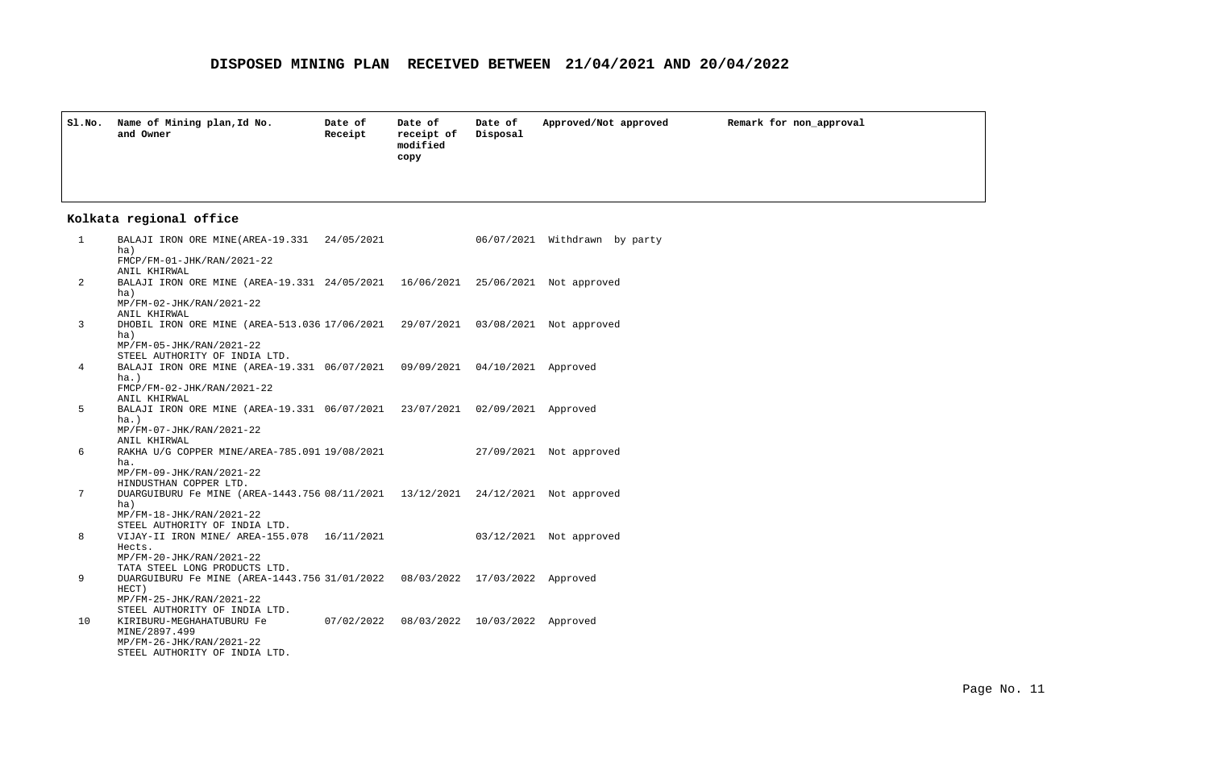| SI.NO. | Name of Mining plan, Id No.<br>and Owner | Date of<br>Receipt | Date of<br>receipt of<br>modified<br>copy | Date of<br>Disposal | Approved/Not approved | Remark for non approval |
|--------|------------------------------------------|--------------------|-------------------------------------------|---------------------|-----------------------|-------------------------|
|        |                                          |                    |                                           |                     |                       |                         |

## **Kolkata regional office**

| 1  | BALAJI IRON ORE MINE(AREA-19.331 24/05/2021<br>ha)<br>FMCP/FM-01-JHK/RAN/2021-22                                                                                              |  | 06/07/2021 Withdrawn by party |
|----|-------------------------------------------------------------------------------------------------------------------------------------------------------------------------------|--|-------------------------------|
| 2  | ANIL KHIRWAL<br>BALAJI IRON ORE MINE (AREA-19.331 24/05/2021 16/06/2021 25/06/2021 Not approved<br>ha)                                                                        |  |                               |
| 3  | MP/FM-02-JHK/RAN/2021-22<br>ANIL KHIRWAL                                                                                                                                      |  |                               |
|    | DHOBIL IRON ORE MINE (AREA-513.036 17/06/2021 29/07/2021 03/08/2021 Not approved<br>ha)<br>MP/FM-05-JHK/RAN/2021-22                                                           |  |                               |
| 4  | STEEL AUTHORITY OF INDIA LTD.<br>BALAJI IRON ORE MINE (AREA-19.331 06/07/2021 09/09/2021 04/10/2021 Approved<br>$ha.$ )<br>FMCP/FM-02-JHK/RAN/2021-22                         |  |                               |
| 5  | ANIL KHIRWAL<br>BALAJI IRON ORE MINE (AREA-19.331 06/07/2021 23/07/2021 02/09/2021 Approved<br>$ha.$ )                                                                        |  |                               |
| 6  | MP/FM-07-JHK/RAN/2021-22<br>ANIL KHIRWAL<br>RAKHA U/G COPPER MINE/AREA-785.091 19/08/2021 27/09/2021 Not approved<br>ha.                                                      |  |                               |
| 7  | MP/FM-09-JHK/RAN/2021-22<br>HINDUSTHAN COPPER LTD.<br>DUARGUIBURU Fe MINE (AREA-1443.756 08/11/2021 13/12/2021 24/12/2021 Not approved                                        |  |                               |
|    | ha)<br>MP/FM-18-JHK/RAN/2021-22<br>STEEL AUTHORITY OF INDIA LTD.                                                                                                              |  |                               |
| 8  | VIJAY-II IRON MINE/ AREA-155.078  16/11/2021   03/12/2021   Not approved<br>Hects.<br>MP/FM-20-JHK/RAN/2021-22                                                                |  |                               |
| 9  | TATA STEEL LONG PRODUCTS LTD.<br>DUARGUIBURU Fe MINE (AREA-1443.756 31/01/2022 08/03/2022 17/03/2022 Approved<br>HECT)                                                        |  |                               |
| 10 | MP/FM-25-JHK/RAN/2021-22<br>STEEL AUTHORITY OF INDIA LTD.<br>KIRIBURU-MEGHAHATUBURU Fe 07/02/2022 08/03/2022 10/03/2022 Approved<br>MINE/2897.499<br>MP/FM-26-JHK/RAN/2021-22 |  |                               |
|    | STEEL AUTHORITY OF INDIA LTD.                                                                                                                                                 |  |                               |